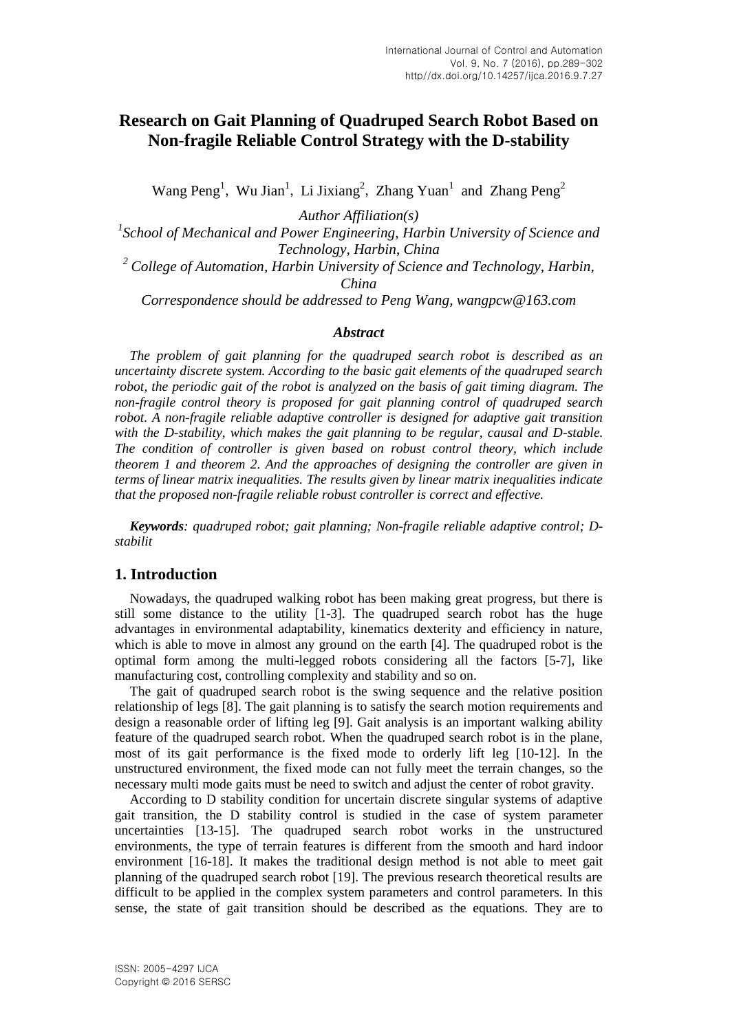# **Research on Gait Planning of Quadruped Search Robot Based on Non-fragile Reliable Control Strategy with the D-stability**

Wang Peng<sup>1</sup>, Wu Jian<sup>1</sup>, Li Jixiang<sup>2</sup>, Zhang Yuan<sup>1</sup> and Zhang Peng<sup>2</sup>

*Author Affiliation(s)*

<sup>1</sup> School of Mechanical and Power Engineering, Harbin University of Science and *Technology, Harbin, China*

*<sup>2</sup> College of Automation, Harbin University of Science and Technology, Harbin, China*

*Correspondence should be addressed to Peng Wang, wangpcw@163.com*

### *Abstract*

*The problem of gait planning for the quadruped search robot is described as an uncertainty discrete system. According to the basic gait elements of the quadruped search robot, the periodic gait of the robot is analyzed on the basis of gait timing diagram. The non-fragile control theory is proposed for gait planning control of quadruped search robot. A non-fragile reliable adaptive controller is designed for adaptive gait transition with the D-stability, which makes the gait planning to be regular, causal and D-stable. The condition of controller is given based on robust control theory, which include theorem 1 and theorem 2. And the approaches of designing the controller are given in terms of linear matrix inequalities. The results given by linear matrix inequalities indicate that the proposed non-fragile reliable robust controller is correct and effective.*

*Keywords: quadruped robot; gait planning; Non-fragile reliable adaptive control; Dstabilit*

## **1. Introduction**

Nowadays, the quadruped walking robot has been making great progress, but there is still some distance to the utility [1-3]. The quadruped search robot has the huge advantages in environmental adaptability, kinematics dexterity and efficiency in nature, which is able to move in almost any ground on the earth [4]. The quadruped robot is the optimal form among the multi-legged robots considering all the factors [5-7], like manufacturing cost, controlling complexity and stability and so on.

The gait of quadruped search robot is the swing sequence and the relative position relationship of legs [8]. The gait planning is to satisfy the search motion requirements and design a reasonable order of lifting leg [9]. Gait analysis is an important walking ability feature of the quadruped search robot. When the quadruped search robot is in the plane, most of its gait performance is the fixed mode to orderly lift leg [10-12]. In the unstructured environment, the fixed mode can not fully meet the terrain changes, so the necessary multi mode gaits must be need to switch and adjust the center of robot gravity.

According to D stability condition for uncertain discrete singular systems of adaptive gait transition, the D stability control is studied in the case of system parameter uncertainties [13-15]. The quadruped search robot works in the unstructured environments, the type of terrain features is different from the smooth and hard indoor environment [16-18]. It makes the traditional design method is not able to meet gait planning of the quadruped search robot [19]. The previous research theoretical results are difficult to be applied in the complex system parameters and control parameters. In this sense, the state of gait transition should be described as the equations. They are to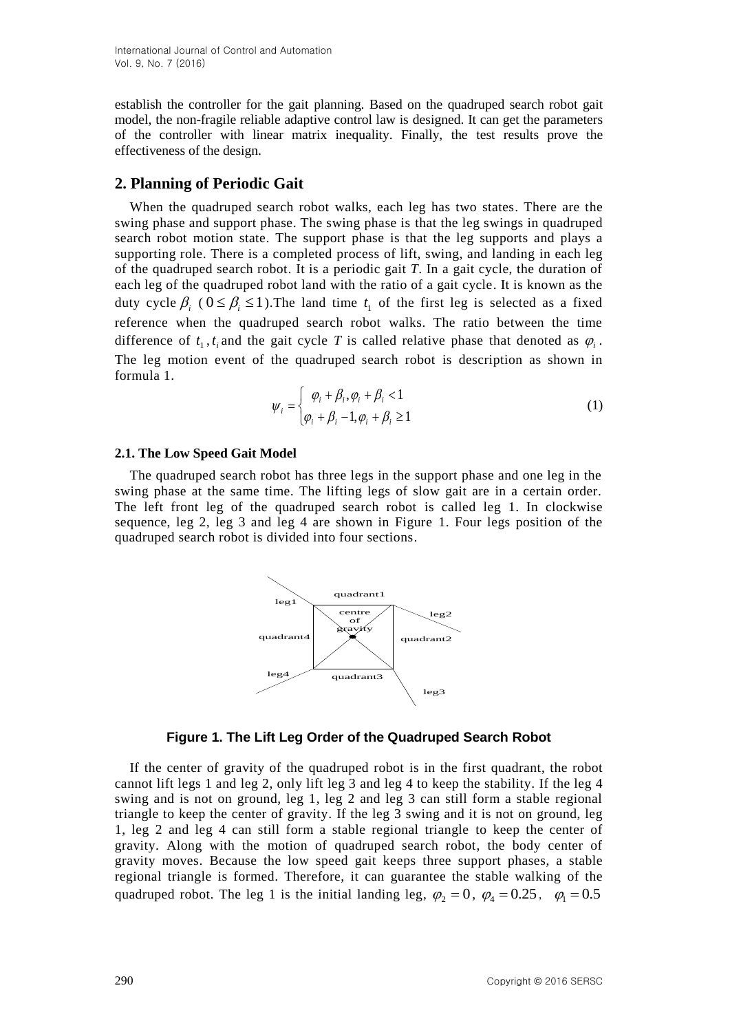establish the controller for the gait planning. Based on the quadruped search robot gait model, the non-fragile reliable adaptive control law is designed. It can get the parameters of the controller with linear matrix inequality. Finally, the test results prove the effectiveness of the design.

## **2. Planning of Periodic Gait**

When the quadruped search robot walks, each leg has two states. There are the swing phase and support phase. The swing phase is that the leg swings in quadruped search robot motion state. The support phase is that the leg supports and plays a supporting role. There is a completed process of lift, swing, and landing in each leg of the quadruped search robot. It is a periodic gait *T*. In a gait cycle, the duration of each leg of the quadruped robot land with the ratio of a gait cycle. It is known as the duty cycle  $\beta_i$  ( $0 \leq \beta_i \leq 1$ ). The land time  $t_1$  of the first leg is selected as a fixed reference when the quadruped search robot walks. The ratio between the time difference of  $t_1, t_i$  and the gait cycle T is called relative phase that denoted as  $\varphi_i$ . The leg motion event of the quadruped search robot is description as shown in formula 1.

$$
\psi_i = \begin{cases} \varphi_i + \beta_i, \varphi_i + \beta_i < 1 \\ \varphi_i + \beta_i - 1, \varphi_i + \beta_i \ge 1 \end{cases} \tag{1}
$$

#### **2.1. The Low Speed Gait Model**

The quadruped search robot has three legs in the support phase and one leg in the swing phase at the same time. The lifting legs of slow gait are in a certain order. The left front leg of the quadruped search robot is called leg 1. In clockwise sequence, leg 2, leg 3 and leg 4 are shown in Figure 1. Four legs position of the quadruped search robot is divided into four sections.



### **Figure 1. The Lift Leg Order of the Quadruped Search Robot**

If the center of gravity of the quadruped robot is in the first quadrant, the robot cannot lift legs 1 and leg 2, only lift leg 3 and leg 4 to keep the stability. If the leg 4 swing and is not on ground, leg 1, leg 2 and leg 3 can still form a stable regional triangle to keep the center of gravity. If the leg 3 swing and it is not on ground, leg 1, leg 2 and leg 4 can still form a stable regional triangle to keep the center of gravity. Along with the motion of quadruped search robot, the body center of gravity moves. Because the low speed gait keeps three support phases, a stable regional triangle is formed. Therefore, it can guarantee the stable walking of the quadruped robot. The leg 1 is the initial landing leg,  $\varphi_2 = 0$ ,  $\varphi_4 = 0.25$ ,  $\varphi_1 = 0.5$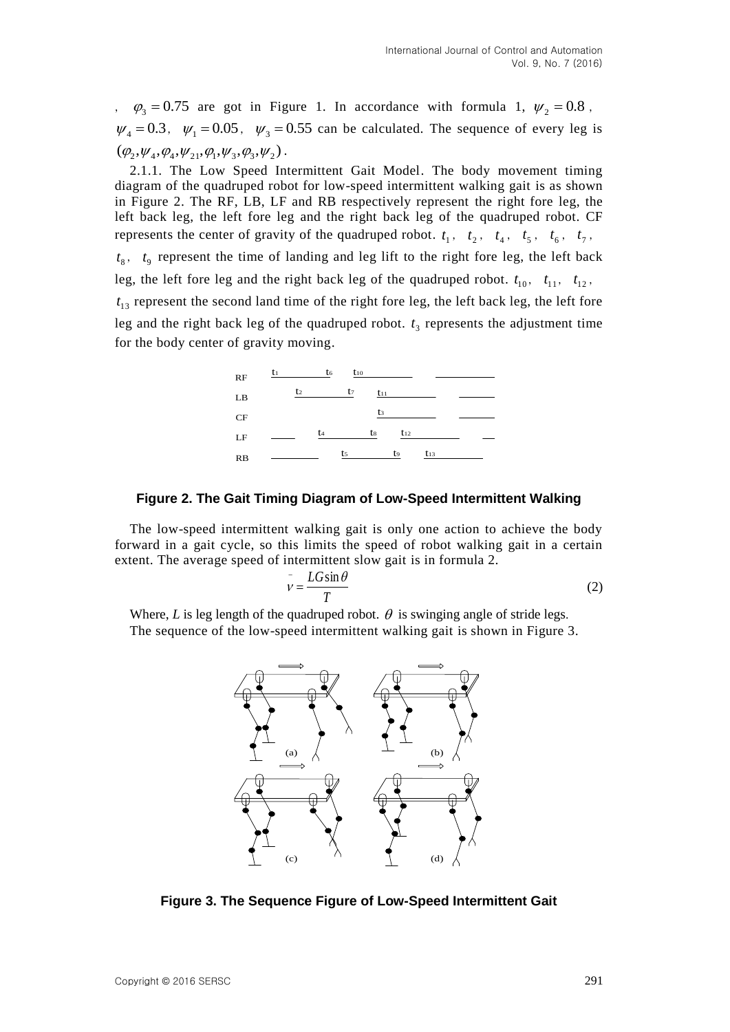$\varphi_3 = 0.75$  are got in Figure 1. In accordance with formula 1,  $\psi_2 = 0.8$ ,  $\psi_4 = 0.3$ ,  $\psi_1 = 0.05$ ,  $\psi_3 = 0.55$  can be calculated. The sequence of every leg is  $(\varphi_2, \psi_4, \varphi_4, \psi_{21}, \varphi_1, \psi_3, \varphi_3, \psi_2).$ 

2.1.1. The Low Speed Intermittent Gait Model. The body movement timing diagram of the quadruped robot for low-speed intermittent walking gait is as shown in Figure 2. The RF, LB, LF and RB respectively represent the right fore leg, the left back leg, the left fore leg and the right back leg of the quadruped robot. CF represents the center of gravity of the quadruped robot.  $t_1$ ,  $t_2$ ,  $t_4$ ,  $t_5$ ,  $t_6$ ,  $t_7$ ,  $t_8$ ,  $t_9$  represent the time of landing and leg lift to the right fore leg, the left back leg, the left fore leg and the right back leg of the quadruped robot.  $t_{10}$ ,  $t_{11}$ ,  $t_{12}$ ,  $t_{13}$  represent the second land time of the right fore leg, the left back leg, the left fore leg and the right back leg of the quadruped robot.  $t_3$  represents the adjustment time for the body center of gravity moving.



#### **Figure 2. The Gait Timing Diagram of Low-Speed Intermittent Walking**

The low-speed intermittent walking gait is only one action to achieve the body forward in a gait cycle, so this limits the speed of robot walking gait in a certain extent. The average speed of intermittent slow gait is in formula 2.

$$
\bar{v} = \frac{LG\sin\theta}{T} \tag{2}
$$

Where, *L* is leg length of the quadruped robot.  $\theta$  is swinging angle of stride legs. The sequence of the low-speed intermittent walking gait is shown in Figure 3.



**Figure 3. The Sequence Figure of Low-Speed Intermittent Gait**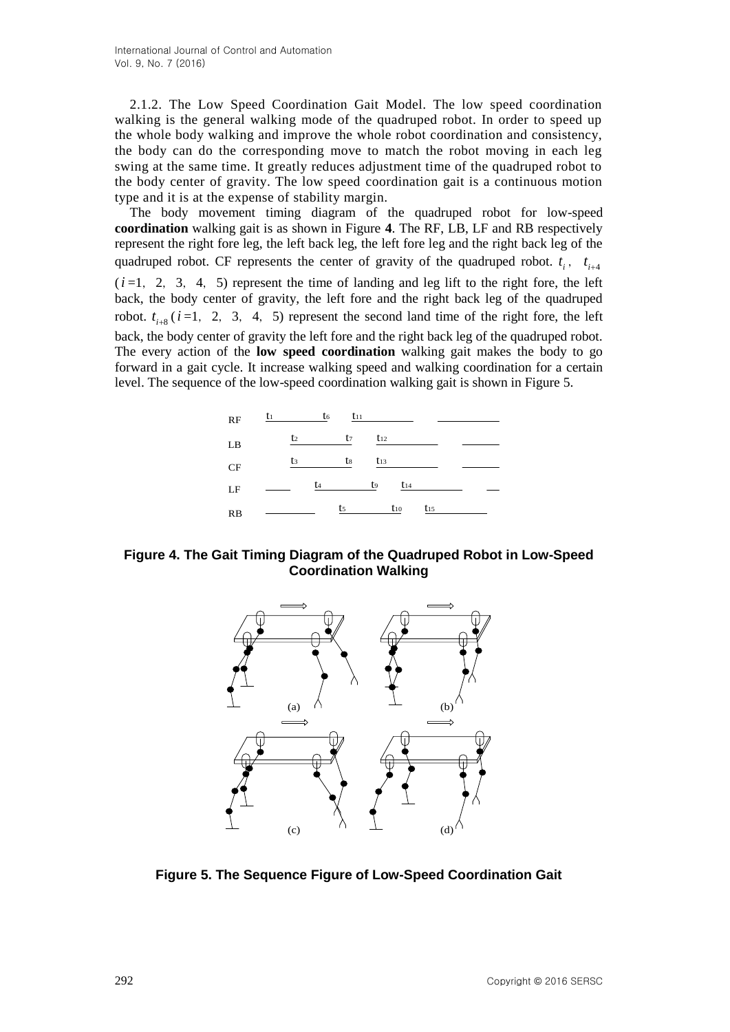2.1.2. The Low Speed Coordination Gait Model. The low speed coordination walking is the general walking mode of the quadruped robot. In order to speed up the whole body walking and improve the whole robot coordination and consistency, the body can do the corresponding move to match the robot moving in each leg swing at the same time. It greatly reduces adjustment time of the quadruped robot to the body center of gravity. The low speed coordination gait is a continuous motion type and it is at the expense of stability margin.

The body movement timing diagram of the quadruped robot for low-speed **coordination** walking gait is as shown in Figure **4**. The RF, LB, LF and RB respectively represent the right fore leg, the left back leg, the left fore leg and the right back leg of the quadruped robot. CF represents the center of gravity of the quadruped robot.  $t_i$ ,  $t_{i+4}$  $(i=1, 2, 3, 4, 5)$  represent the time of landing and leg lift to the right fore, the left back, the body center of gravity, the left fore and the right back leg of the quadruped robot.  $t_{i+8}$  ( $i=1, 2, 3, 4, 5$ ) represent the second land time of the right fore, the left back, the body center of gravity the left fore and the right back leg of the quadruped robot. The every action of the **low speed coordination** walking gait makes the body to go forward in a gait cycle. It increase walking speed and walking coordination for a certain level. The sequence of the low-speed coordination walking gait is shown in Figure 5.



**Figure 4. The Gait Timing Diagram of the Quadruped Robot in Low-Speed Coordination Walking**



**Figure 5. The Sequence Figure of Low-Speed Coordination Gait**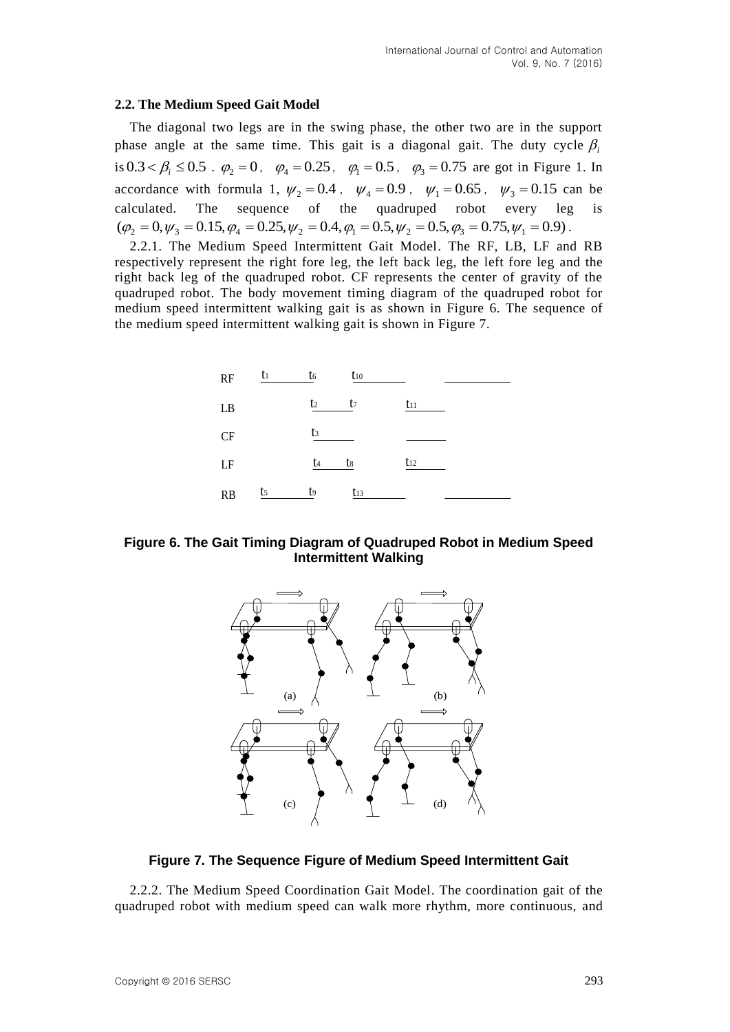## **2.2. The Medium Speed Gait Model**

The diagonal two legs are in the swing phase, the other two are in the support phase angle at the same time. This gait is a diagonal gait. The duty cycle  $\beta$ is  $0.3 < \beta_i \le 0.5$ .  $\varphi_2 = 0$ ,  $\varphi_4 = 0.25$ ,  $\varphi_1 = 0.5$ ,  $\varphi_3 = 0.75$  are got in Figure 1. In accordance with formula 1,  $\psi_2 = 0.4$ ,  $\psi_4 = 0.9$ ,  $\psi_1 = 0.65$ ,  $\psi_3 = 0.15$  can be calculated. The sequence of the quadruped robot every leg is  $(\varphi_2 = 0, \psi_3 = 0.15, \varphi_4 = 0.25, \psi_2 = 0.4, \varphi_1 = 0.5, \psi_2 = 0.5, \varphi_3 = 0.75, \psi_1 = 0.9)$ .

2.2.1. The Medium Speed Intermittent Gait Model. The RF, LB, LF and RB respectively represent the right fore leg, the left back leg, the left fore leg and the right back leg of the quadruped robot. CF represents the center of gravity of the quadruped robot. The body movement timing diagram of the quadruped robot for medium speed intermittent walking gait is as shown in Figure 6. The sequence of the medium speed intermittent walking gait is shown in Figure 7.



**Figure 6. The Gait Timing Diagram of Quadruped Robot in Medium Speed Intermittent Walking**



## **Figure 7. The Sequence Figure of Medium Speed Intermittent Gait**

2.2.2. The Medium Speed Coordination Gait Model. The coordination gait of the quadruped robot with medium speed can walk more rhythm, more continuous, and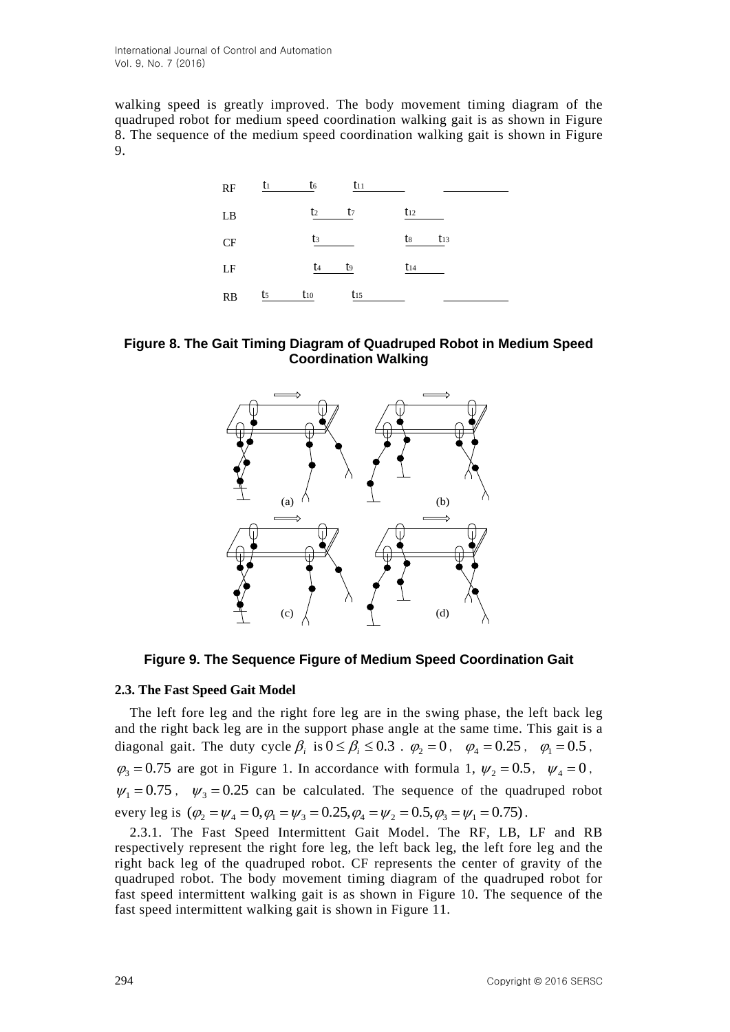walking speed is greatly improved. The body movement timing diagram of the quadruped robot for medium speed coordination walking gait is as shown in Figure 8. The sequence of the medium speed coordination walking gait is shown in Figure 9.







**Figure 9. The Sequence Figure of Medium Speed Coordination Gait**

## **2.3. The Fast Speed Gait Model**

The left fore leg and the right fore leg are in the swing phase, the left back leg and the right back leg are in the support phase angle at the same time. This gait is a diagonal gait. The duty cycle  $\beta_i$  is  $0 \le \beta_i \le 0.3$ .  $\varphi_2 = 0$ ,  $\varphi_4 = 0.25$ ,  $\varphi_1 = 0.5$ ,  $\varphi_3 = 0.75$  are got in Figure 1. In accordance with formula 1,  $\psi_2 = 0.5$ ,  $\psi_4 = 0$ ,  $\psi_1 = 0.75$ ,  $\psi_3 = 0.25$  can be calculated. The sequence of the quadruped robot every leg is  $(\varphi_2 = \psi_4 = 0, \varphi_1 = \psi_3 = 0.25, \varphi_4 = \psi_2 = 0.5, \varphi_3 = \psi_1 = 0.75)$ .

2.3.1. The Fast Speed Intermittent Gait Model. The RF, LB, LF and RB respectively represent the right fore leg, the left back leg, the left fore leg and the right back leg of the quadruped robot. CF represents the center of gravity of the quadruped robot. The body movement timing diagram of the quadruped robot for fast speed intermittent walking gait is as shown in Figure 10. The sequence of the fast speed intermittent walking gait is shown in Figure 11.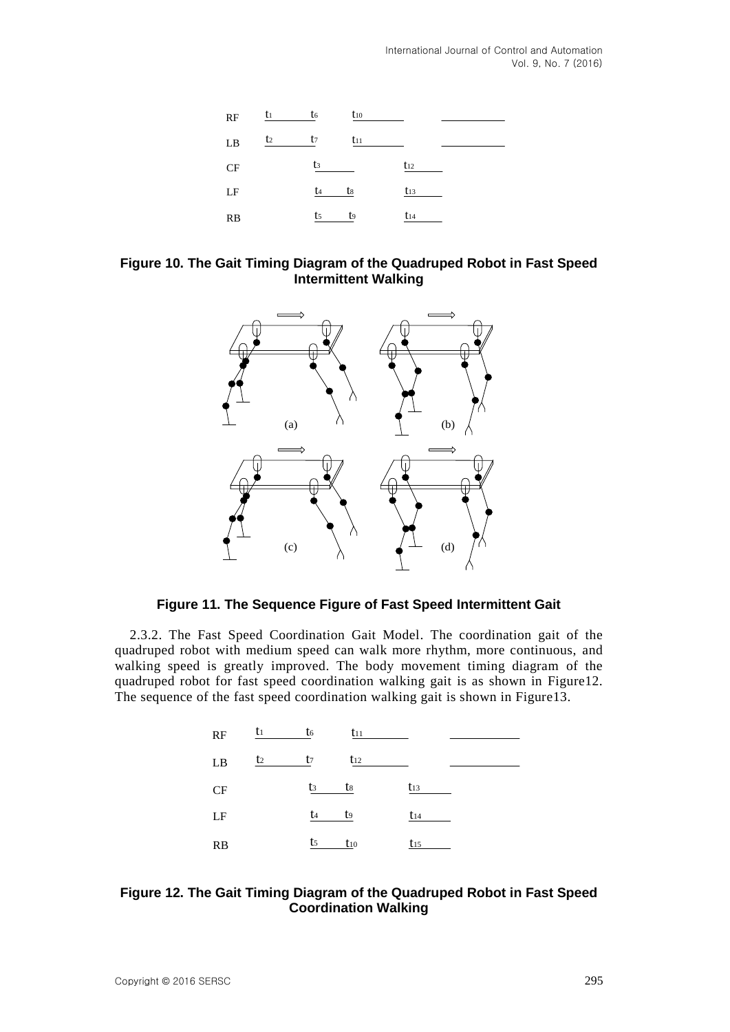

## **Figure 10. The Gait Timing Diagram of the Quadruped Robot in Fast Speed Intermittent Walking**



## **Figure 11. The Sequence Figure of Fast Speed Intermittent Gait**

2.3.2. The Fast Speed Coordination Gait Model. The coordination gait of the quadruped robot with medium speed can walk more rhythm, more continuous, and walking speed is greatly improved. The body movement timing diagram of the quadruped robot for fast speed coordination walking gait is as shown in Figure12. The sequence of the fast speed coordination walking gait is shown in Figure13.



## **Figure 12. The Gait Timing Diagram of the Quadruped Robot in Fast Speed Coordination Walking**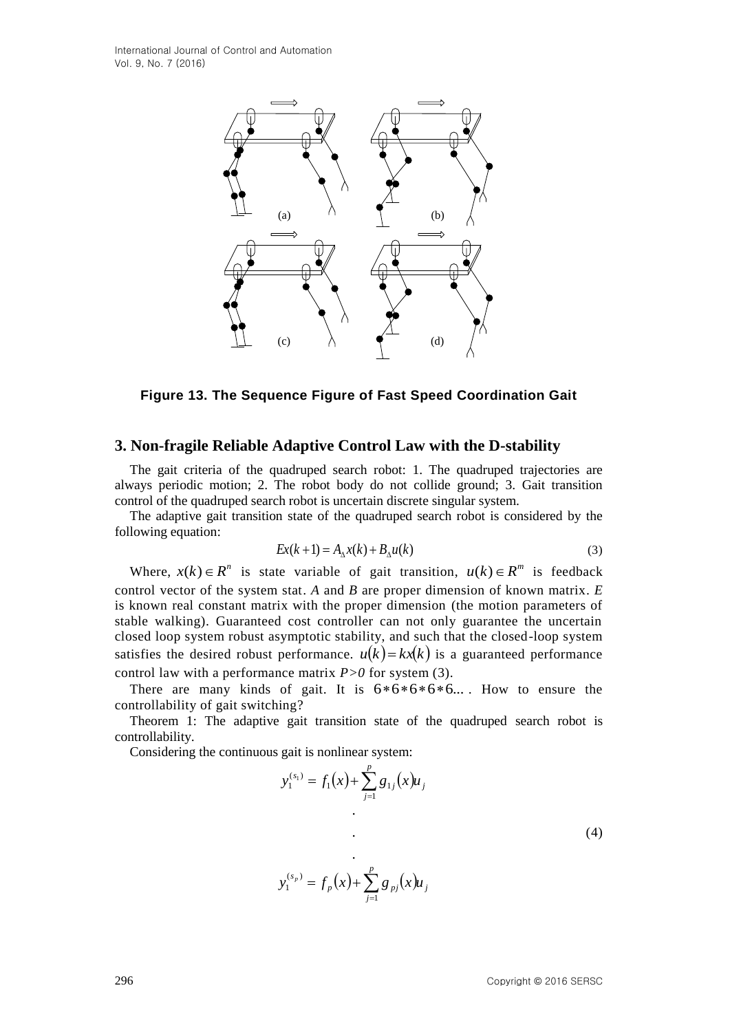

## **3. Non-fragile Reliable Adaptive Control Law with the D-stability**

The gait criteria of the quadruped search robot: 1. The quadruped trajectories are always periodic motion; 2. The robot body do not collide ground; 3. Gait transition control of the quadruped search robot is uncertain discrete singular system.

The adaptive gait transition state of the quadruped search robot is considered by the following equation:

$$
Ex(k+1) = A_{\Delta}x(k) + B_{\Delta}u(k)
$$
\n(3)

**Example 13.** The **Example of Fast Speed Coordination Gait**<br> **Example Reliable Adaptive Control Law with the D-stability**<br> **Example Reliable Adaptive Control Law with the D-stability**<br>
The gain criticis of the quality of Where,  $x(k) \in R^n$  is state variable of gait transition,  $u(k) \in R^m$  is feedback control vector of the system stat. *A* and *B* are proper dimension of known matrix. *E* is known real constant matrix with the proper dimension (the motion parameters of stable walking). Guaranteed cost controller can not only guarantee the uncertain closed loop system robust asymptotic stability, and such that the closed-loop system satisfies the desired robust performance.  $u(k) = kx(k)$  is a guaranteed performance control law with a performance matrix *P>0* for system (3).

There are many kinds of gait. It is  $6*6*6*6*6...$ . How to ensure the controllability of gait switching?

Theorem 1: The adaptive gait transition state of the quadruped search robot is controllability.

1

Considering the continuous gait is nonlinear system:

$$
y_1^{(s_1)} = f_1(x) + \sum_{j=1}^p g_{1j}(x)u_j
$$
  
.  
.  
.  

$$
y_1^{(s_p)} = f_p(x) + \sum_{j=1}^p g_{pj}(x)u_j
$$
 (4)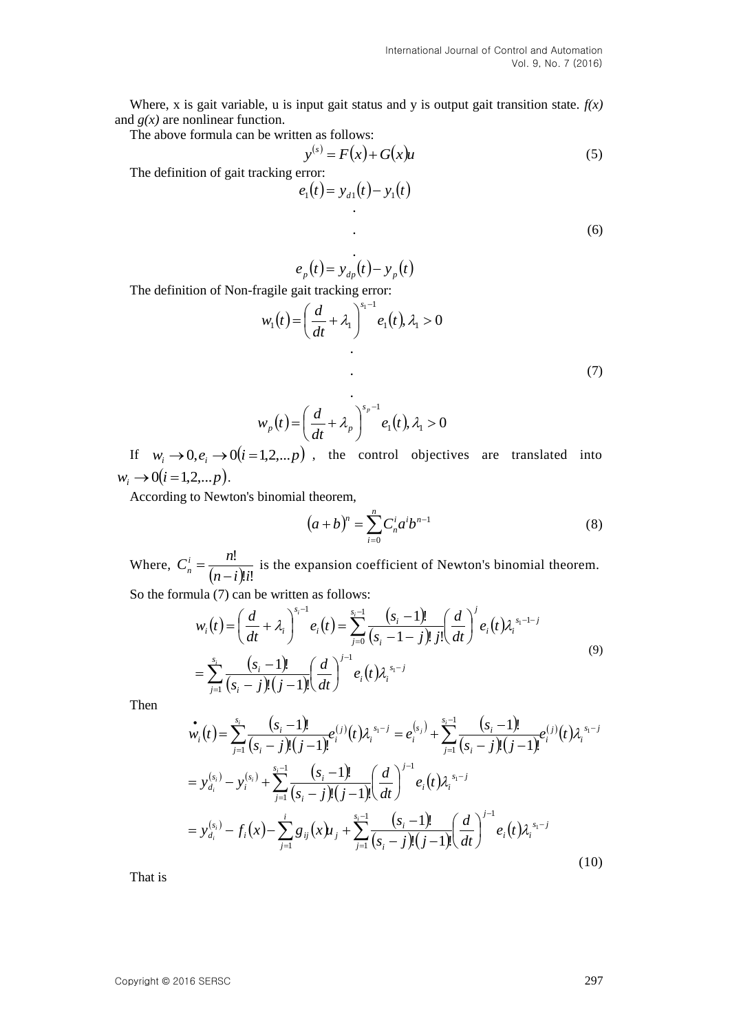Where, x is gait variable, u is input gait status and y is output gait transition state.  $f(x)$ and  $g(x)$  are nonlinear function.

The above formula can be written as follows:

$$
y^{(s)} = F(x) + G(x)u \tag{5}
$$

The definition of gait tracking error:

$$
e_1(t) = y_{d1}(t) - y_1(t)
$$

.

(6)

$$
e_p(t) = y_{dp}(t) - y_p(t)
$$

The definition of Non-fragile gait tracking error:

$$
w_1(t) = \left(\frac{d}{dt} + \lambda_1\right)^{s_1 - 1} e_1(t), \lambda_1 > 0
$$
\n(7)

$$
w_p(t) = \left(\frac{d}{dt} + \lambda_p\right)^{s_p - 1} e_1(t), \lambda_1 > 0
$$

If  $w_i \rightarrow 0, e_i \rightarrow 0$   $(i = 1, 2, \dots, p)$ , the control objectives are translated into  $w_i \rightarrow 0 (i = 1, 2, \dots p).$ 

According to Newton's binomial theorem,

$$
(a+b)^n = \sum_{i=0}^n C_n^i a^i b^{n-1}
$$
 (8)

Where,  $(n-i)!i!$ !  $n - i$  )!*i*  $C_n^i = \frac{n}{\sqrt{2\pi}}$  $n - (n =\frac{n!}{(n-1)!}$  is the expansion coefficient of Newton's binomial theorem. So the formula (7) can be written as follows:

$$
w_i(t) = \left(\frac{d}{dt} + \lambda_i\right)^{s_i-1} e_i(t) = \sum_{j=0}^{s_i-1} \frac{(s_i-1)!}{(s_i-1-j)! j!} \left(\frac{d}{dt}\right)^j e_i(t) \lambda_i^{s_i-1-j}
$$
  
= 
$$
\sum_{j=1}^{s_i} \frac{(s_i-1)!}{(s_i-j)! (j-1)!} \left(\frac{d}{dt}\right)^{j-1} e_i(t) \lambda_i^{s_i-j}
$$
(9)

Then

$$
\begin{split}\n\dot{w}_i(t) &= \sum_{j=1}^{s_i} \frac{(s_i - 1)!}{(s_i - j)!(j - 1)!} e_i^{(j)}(t) \lambda_i^{s_1 - j} = e_i^{(s_j)} + \sum_{j=1}^{s_i - 1} \frac{(s_i - 1)!}{(s_i - j)!(j - 1)!} e_i^{(j)}(t) \lambda_i^{s_1 - j} \\
&= y_{d_i}^{(s_i)} - y_i^{(s_i)} + \sum_{j=1}^{s_i - 1} \frac{(s_i - 1)!}{(s_i - j)!(j - 1)!} \left(\frac{d}{dt}\right)^{j-1} e_i(t) \lambda_i^{s_1 - j} \\
&= y_{d_i}^{(s_i)} - f_i(x) - \sum_{j=1}^{i} g_{ij}(x) \mu_j + \sum_{j=1}^{s_i - 1} \frac{(s_i - 1)!}{(s_i - j)!(j - 1)!} \left(\frac{d}{dt}\right)^{j-1} e_i(t) \lambda_i^{s_1 - j}\n\end{split} \tag{10}
$$

That is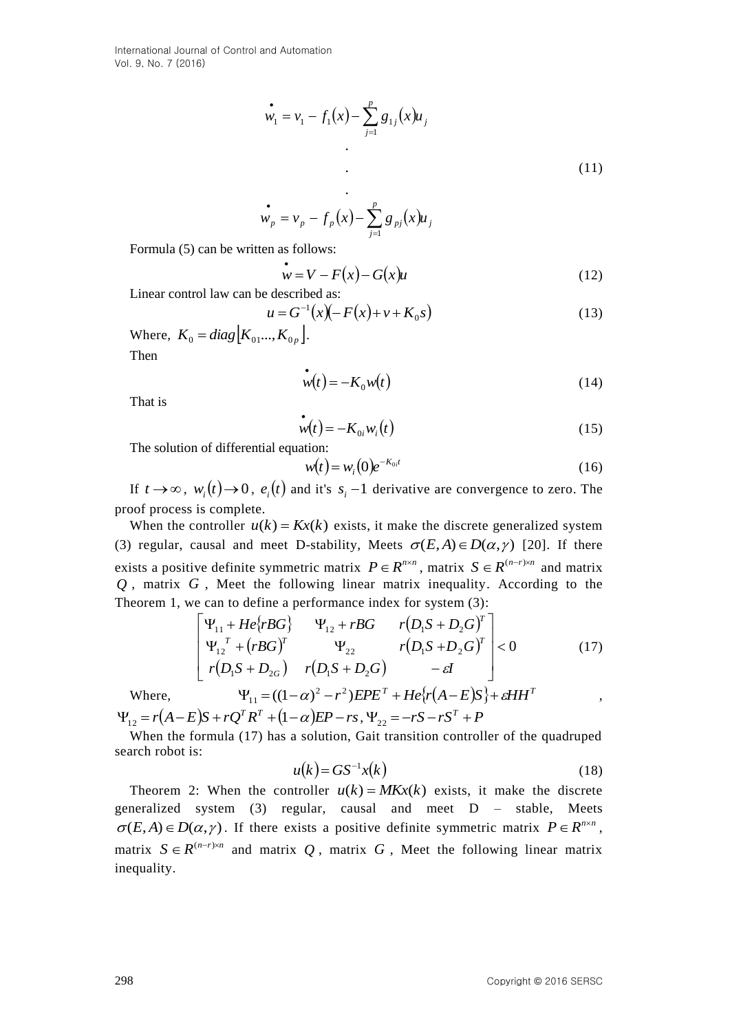$$
\mathbf{w}_1 = \mathbf{v}_1 - f_1(x) - \sum_{j=1}^p g_{1j}(x) \mathbf{u}_j
$$
\n
$$
\tag{11}
$$

$$
\mathbf{w}_p = v_p - f_p(x) - \sum_{j=1}^p g_{pj}(x)u_j
$$

Formula (5) can be written as follows:

$$
\mathbf{w} = V - F(x) - G(x)\mathbf{u} \tag{12}
$$

Linear control law can be described as:

$$
u = G^{-1}(x)(-F(x) + v + K_0 s)
$$
\n(13)

Where,  $K_0 = diag \begin{bmatrix} K_{01} & K_{0p} \end{bmatrix}$ . Then

$$
\mathbf{w}(t) = -K_0 w(t) \tag{14}
$$

That is

$$
\dot{\mathbf{w}}(t) = -K_{0i} w_i(t) \tag{15}
$$

The solution of differential equation:

$$
w(t) = w_i(0)e^{-K_{0,i}t}
$$
 (16)

If  $t \to \infty$ ,  $w_i(t) \to 0$ ,  $e_i(t)$  and it's  $s_i - 1$  derivative are convergence to zero. The proof process is complete.

When the controller  $u(k) = Kx(k)$  exists, it make the discrete generalized system (3) regular, causal and meet D-stability, Meets  $\sigma(E, A) \in D(\alpha, \gamma)$  [20]. If there exists a positive definite symmetric matrix  $P \in R^{n \times n}$ , matrix  $S \in R^{(n-r) \times n}$  and matrix *Q* , matrix *G* , Meet the following linear matrix inequality. According to the Theorem 1, we can to define a performance index for system (3):

$$
\begin{bmatrix}\n\Psi_{11} + He\{rBG\} & \Psi_{12} + rBG & r(D_1S + D_2G)^T \\
\Psi_{12}^T + (rBG)^T & \Psi_{22} & r(D_1S + D_2G)^T \\
r(D_1S + D_{2G}) & r(D_1S + D_2G) & -\varepsilon I\n\end{bmatrix} < 0
$$
\n(17)\n
$$
\Psi_{11} = ((1 - \alpha)^2 - r^2)EPE^T + He\{r(A - E)S\} + \varepsilon HH^T
$$

Where,

 $\Psi_{12} = r(A-E)S + rQ^{T}R^{T} + (1-\alpha)EP - rs, \Psi_{22} = -rS - rS^{T} + P$ 

When the formula (17) has a solution, Gait transition controller of the quadruped search robot is:

$$
u(k) = GS^{-1}x(k) \tag{18}
$$

Theorem 2: When the controller  $u(k) = MKx(k)$  exists, it make the discrete generalized system (3) regular, causal and meet D – stable, Meets  $\sigma(E, A) \in D(\alpha, \gamma)$ . If there exists a positive definite symmetric matrix  $P \in R^{n \times n}$ , matrix  $S \in R^{(n-r)\times n}$  and matrix Q, matrix G, Meet the following linear matrix inequality.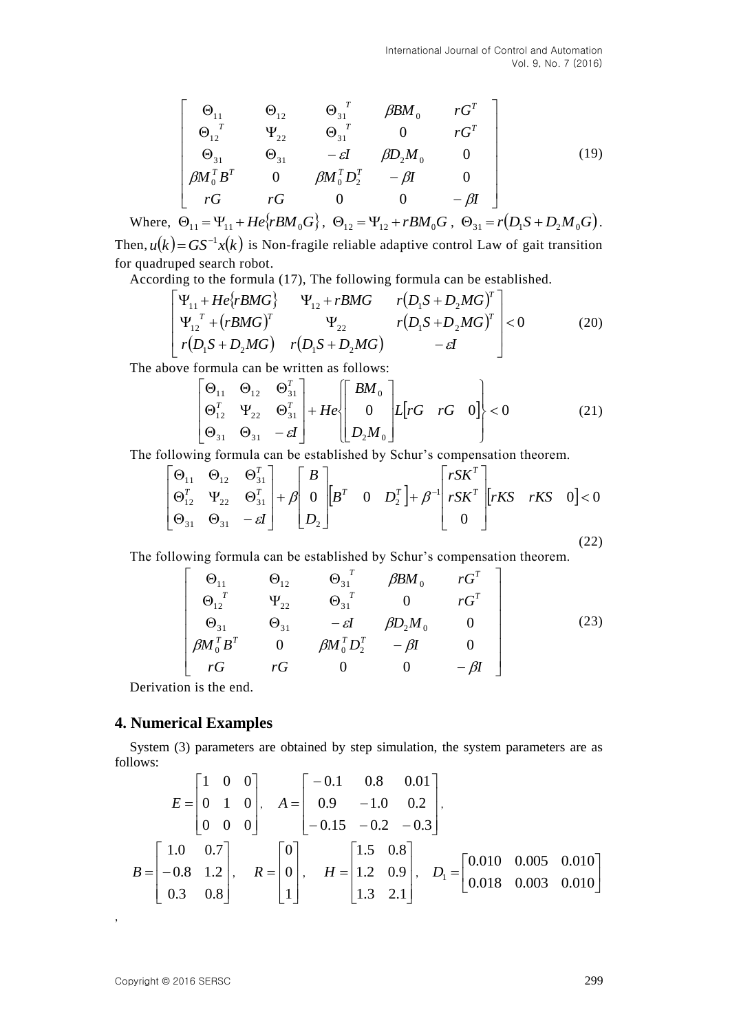$$
\begin{bmatrix}\n\Theta_{11} & \Theta_{12} & \Theta_{31}^T & \beta B M_0 & rG^T \\
\Theta_{12}^T & \Psi_{22} & \Theta_{31}^T & 0 & rG^T \\
\Theta_{31} & \Theta_{31} & -\varepsilon I & \beta D_2 M_0 & 0 \\
\beta M_0^T B^T & 0 & \beta M_0^T D_2^T & -\beta I & 0 \\
rG & rG & 0 & 0 & -\beta I\n\end{bmatrix}
$$
\n(19)

Where,  $\Theta_{11} = \Psi_{11} + He\{rBM_0G\}$ ,  $\Theta_{12} = \Psi_{12} + rBM_0G$ ,  $\Theta_{31} = r(D_1S + D_2M_0G)$ . Then,  $u(k) = GS^{-1}x(k)$  is Non-fragile reliable adaptive control Law of gait transition

for quadruped search robot.

According to the formula (17), The following formula can be established.  
\n
$$
\begin{bmatrix}\n\Psi_{11} + He\{rBMG\} & \Psi_{12} + rBMG & r(D_1S + D_2MG)^T \\
\Psi_{12}^T + (rBMG)^T & \Psi_{22} & r(D_1S + D_2MG)^T \\
r(D_1S + D_2MG) & r(D_1S + D_2MG) & -\varepsilon I\n\end{bmatrix} < 0
$$
\n(20)

The above formula can be written as follows:

$$
\begin{bmatrix} \Theta_{11} & \Theta_{12} & \Theta_{31}^T \\ \Theta_{12}^T & \Psi_{22} & \Theta_{31}^T \\ \Theta_{31} & \Theta_{31} & -\varepsilon I \end{bmatrix} + He \begin{bmatrix} BM_0 \\ 0 \\ D_2M_0 \end{bmatrix} L[rG \quad rG \quad 0] < 0 \qquad (21)
$$

The following formula can be established by Schur's compensation theorem.  
\n
$$
\begin{bmatrix}\n\Theta_{11} & \Theta_{12} & \Theta_{31}^T \\
\Theta_{12}^T & \Psi_{22} & \Theta_{31}^T \\
\Theta_{31} & \Theta_{31} & -\varepsilon I\n\end{bmatrix} + \beta \begin{bmatrix}\nB \\
0 \\
D_2\n\end{bmatrix} \begin{bmatrix}\nB^T & 0 & D_2^T\n\end{bmatrix} + \beta^{-1} \begin{bmatrix}\nrSK^T \\
rSK^T \\
0\n\end{bmatrix} \begin{bmatrix}\nrKS & rKS & 0\n\end{bmatrix} < 0
$$
\n(22)

The following formula can be established by Schur's compensation theorem.

$$
\begin{bmatrix}\n\Theta_{11} & \Theta_{12} & \Theta_{31}^T & \beta B M_0 & rG^T \\
\Theta_{12}^T & \Psi_{22} & \Theta_{31}^T & 0 & rG^T \\
\Theta_{31} & \Theta_{31} & -\varepsilon I & \beta D_2 M_0 & 0 \\
\beta M_0^T B^T & 0 & \beta M_0^T D_2^T & -\beta I & 0 \\
rG & rG & 0 & 0 & -\beta I\n\end{bmatrix}
$$
\n(23)

Derivation is the end.

## **4. Numerical Examples**

System (3) parameters are obtained by step simulation, the system parameters are as follows:

$$
E = \begin{bmatrix} 1 & 0 & 0 \\ 0 & 1 & 0 \\ 0 & 0 & 0 \end{bmatrix}, A = \begin{bmatrix} -0.1 & 0.8 & 0.01 \\ 0.9 & -1.0 & 0.2 \\ -0.15 & -0.2 & -0.3 \end{bmatrix},
$$
  
\n
$$
B = \begin{bmatrix} 1.0 & 0.7 \\ -0.8 & 1.2 \\ 0.3 & 0.8 \end{bmatrix}, R = \begin{bmatrix} 0 \\ 0 \\ 1 \end{bmatrix}, H = \begin{bmatrix} 1.5 & 0.8 \\ 1.2 & 0.9 \\ 1.3 & 2.1 \end{bmatrix}, D_1 = \begin{bmatrix} 0.010 & 0.005 & 0.010 \\ 0.018 & 0.003 & 0.010 \end{bmatrix}
$$

,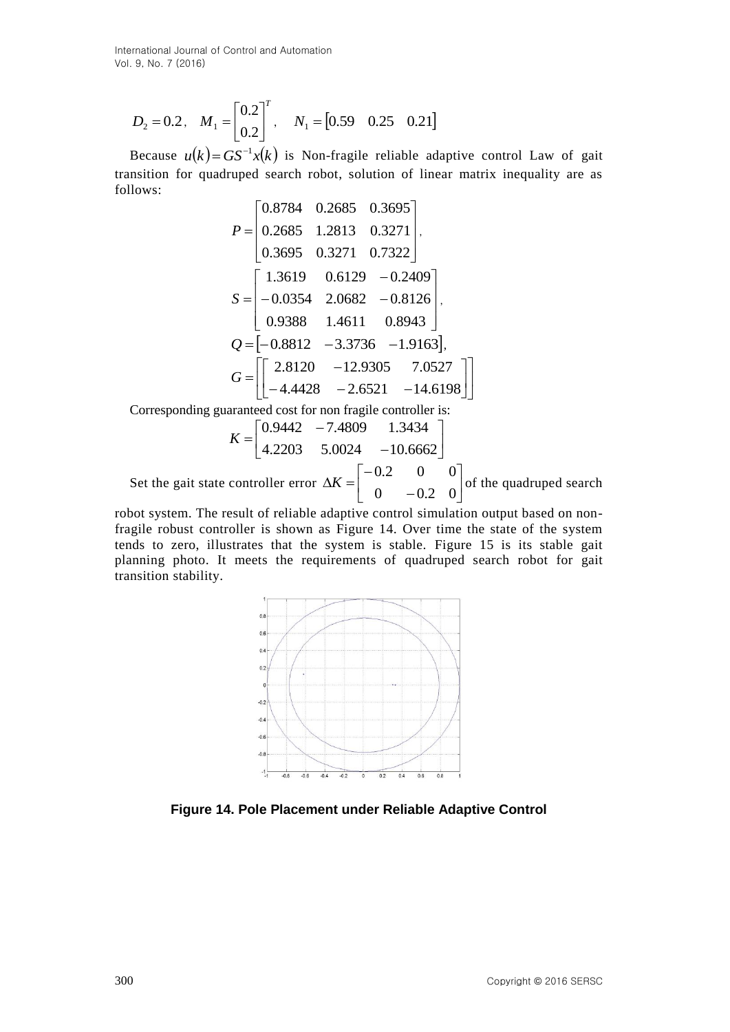$$
D_2 = 0.2
$$
,  $M_1 = \begin{bmatrix} 0.2 \\ 0.2 \end{bmatrix}^T$ ,  $N_1 = \begin{bmatrix} 0.59 & 0.25 & 0.21 \end{bmatrix}$ 

Because  $u(k) = GS^{-1}x(k)$  is Non-fragile reliable adaptive control Law of gait transition for quadruped search robot, solution of linear matrix inequality are as follows:

$$
D_2 = 0.2, M_1 = \begin{bmatrix} 0.12 \\ 0.2 \end{bmatrix}, N_1 = \begin{bmatrix} 0.59 & 0.25 & 0.21 \end{bmatrix}
$$
  
Because  $u(k) = GS^{-1}x(k)$  is Non-fragile reliable adaptive control Law of gait  
transition for quadruped search robot, solution of linear matrix inequality are as  
follows:  

$$
P = \begin{bmatrix} 0.8784 & 0.2685 & 0.3695 \\ 0.2685 & 1.2813 & 0.3271 \end{bmatrix}
$$

$$
0.3695 & 0.3271 & 0.7322 \end{bmatrix}
$$

$$
S = \begin{bmatrix} 1.3619 & 0.6129 & -0.2409 \\ -0.0354 & 2.0682 & -0.8126 \\ 0.9388 & 1.4611 & 0.8943 \end{bmatrix}
$$

$$
Q = \begin{bmatrix} 2.8120 & -12.9305 & 7.0527 \\ -0.8812 & -3.3736 & -1.9163 \end{bmatrix}
$$

$$
G = \begin{bmatrix} 2.8120 & -12.9305 & 7.0527 \\ -0.8812 & -3.3736 & -1.9163 \end{bmatrix}
$$
  
Corresponding guaranteed cost for non fragile countercible is:  

$$
K = \begin{bmatrix} 0.9442 & -7.4809 & 1.3434 \\ 4.2203 & 5.0024 & -10.6662 \end{bmatrix}
$$
  
Set the gait state controller error  $\Delta K = \begin{bmatrix} -0.2 & 0 & 0 \\ 0 & -0.2 & 0 \end{bmatrix}$  of the quadruped search robot for gait  
fragile robust controller is shown as Figure 14. Over time the state of the system  
probability.  

$$
W = \begin{bmatrix} 0.9442 & -7.4809 & 1.3434 \\ 4.2203 & 5.0024 & -10.6662 \end{bmatrix}
$$

$$
W = \begin{bmatrix} 0.9442 & -8.484 & 0.944 & 0.944 & 0.944 & 0.944 & 0.
$$

Corresponding guaranteed cost for non fragile controller is:

$$
K = \begin{bmatrix} 0.9442 & -7.4809 & 1.3434 \\ 4.2203 & 5.0024 & -10.6662 \end{bmatrix}
$$

Set the gait state controller error  $\Delta K = \begin{bmatrix} 0 & 0 \\ 0 & 0 \end{bmatrix}$  $\overline{\phantom{a}}$ I.  $\mathsf{I}$ L  $\mathsf{I}$  $\overline{a}$  $\overline{a}$  $\Delta K =$  $0 -0.2 0$  $0.2 \t 0 \t 0$  $K = \begin{bmatrix} 0 & 0 \\ 0 & 0 \end{bmatrix}$  of the quadruped search

robot system. The result of reliable adaptive control simulation output based on nonfragile robust controller is shown as Figure 14. Over time the state of the system tends to zero, illustrates that the system is stable. Figure 15 is its stable gait planning photo. It meets the requirements of quadruped search robot for gait transition stability.



**Figure 14. Pole Placement under Reliable Adaptive Control**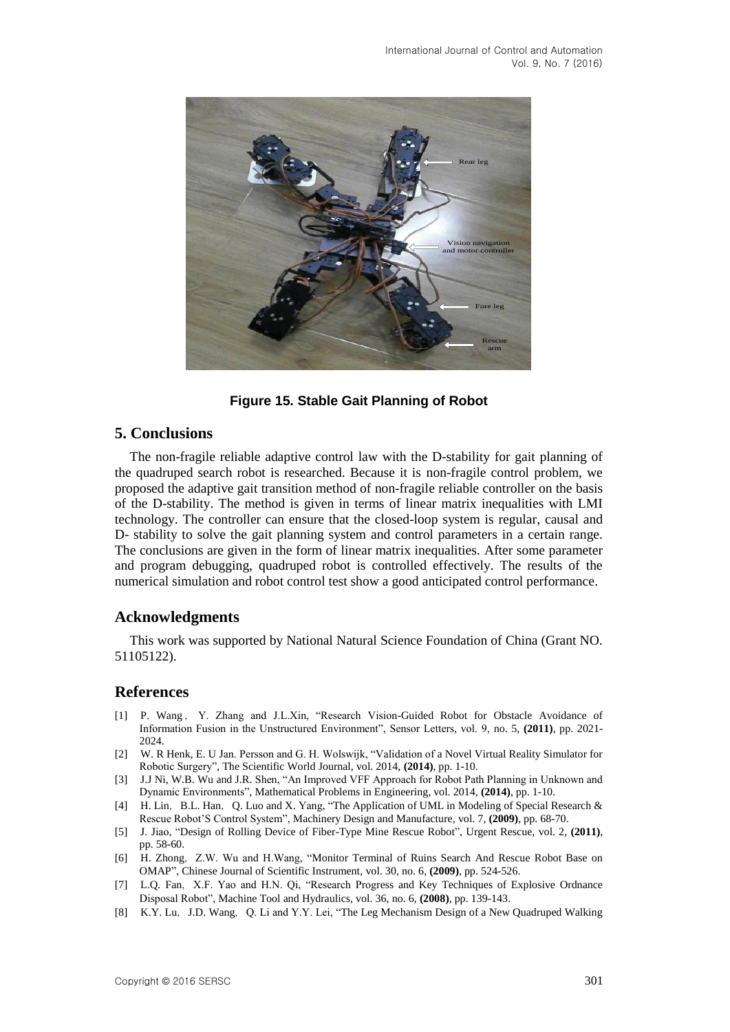

**Figure 15. Stable Gait Planning of Robot**

## **5. Conclusions**

The non-fragile reliable adaptive control law with the D-stability for gait planning of the quadruped search robot is researched. Because it is non-fragile control problem, we proposed the adaptive gait transition method of non-fragile reliable controller on the basis of the D-stability. The method is given in terms of linear matrix inequalities with LMI technology. The controller can ensure that the closed-loop system is regular, causal and D- stability to solve the gait planning system and control parameters in a certain range. The conclusions are given in the form of linear matrix inequalities. After some parameter and program debugging, quadruped robot is controlled effectively. The results of the numerical simulation and robot control test show a good anticipated control performance.

#### **Acknowledgments**

This work was supported by National Natural Science Foundation of China (Grant NO. 51105122).

### **References**

- [1] P. Wang, Y. Zhang and J.L.Xin, "Research Vision-Guided Robot for Obstacle Avoidance of Information Fusion in the Unstructured Environment", Sensor Letters, vol. 9, no. 5, **(2011)**, pp. 2021- 2024.
- [2] W. R Henk, E. U Jan. Persson and G. H. Wolswijk, "Validation of a Novel Virtual Reality Simulator for Robotic Surgery", The Scientific World Journal, vol. 2014, **(2014)**, pp. 1-10.
- [3] J.J Ni, W.B. Wu and J.R. Shen, "An Improved VFF Approach for Robot Path Planning in Unknown and Dynamic Environments", Mathematical Problems in Engineering, vol. 2014, **(2014)**, pp. 1-10.
- [4] H. Lin, B.L. Han, Q. Luo and X. Yang, "The Application of UML in Modeling of Special Research & Rescue Robot'S Control System", Machinery Design and Manufacture, vol. 7, **(2009)**, pp. 68-70.
- [5] J. Jiao, "Design of Rolling Device of Fiber-Type Mine Rescue Robot", Urgent Rescue, vol. 2, **(2011)**, pp. 58-60.
- [6] H. Zhong, Z.W. Wu and H.Wang, "Monitor Terminal of Ruins Search And Rescue Robot Base on OMAP", Chinese Journal of Scientific Instrument, vol. 30, no. 6, **(2009)**, pp. 524-526.
- [7] L.Q. Fan, X.F. Yao and H.N. Qi, "Research Progress and Key Techniques of Explosive Ordnance Disposal Robot", Machine Tool and Hydraulics, vol. 36, no. 6, **(2008)**, pp. 139-143.
- [8] K.Y. Lu, J.D. Wang, Q. Li and Y.Y. Lei, "The Leg Mechanism Design of a New Quadruped Walking